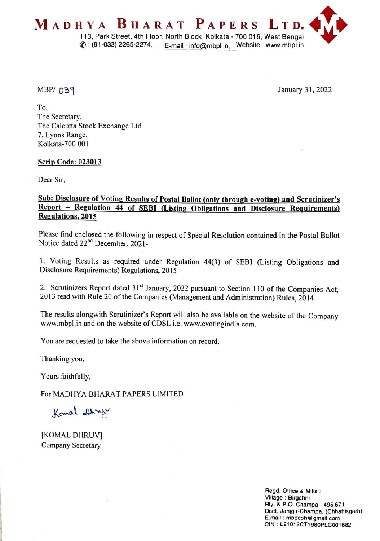

MBP/ 039 January 31, 2022

To, The Secretary, The Calcutta Stock Exchange Ltd 7, Lyons Range, Kolkata-700 001

Scrip Code: 023013

Dear Sir,

# Sub: Disclosure of Voting Results of Postal Ballot (only through e-voting) and Scrutinizer's Report – Regulation 44 of SEBI (Listing Obligations and Disclosure Requirements) Regulations, 2015

Please find enclosed the following in respect of Special Resolution contained in the Postal Ballot Notice dated 22<sup>nd</sup> December, 2021-

1. Voting Results as required under Regulation 44(3) of SEBI (Listing Obligations and Disclosure Requirements) Regulations, 2015

2. Scrutinizers Report dated 31" January, 2022 pursuant to Section 110 of the Companies Act, 2013 read with Rule 20 of the Companies (Management and Administration) Rules, 2014

The results alongwith Scrutinizer's Report will also be available on the website of the Company www.mbpl.in and on the website of CDSL i.e. www.evotingindia.com.

You are requested to take the above information on record.

Thanking you,

Yours faithfully,

For MADHYA BHARAT PAPERS LIMITED

Komal Dhni

[KOMAL DHRUV] Company Secretary

> Regd. Office & Mills Village : Birgahni Rly. & P.O. Champa - 495 671 Dist. Janjgir-Champa, (Chhattisgarh)<br>E.mail : mbpcph@gmail.com CIN: L21012CT1980PLC001682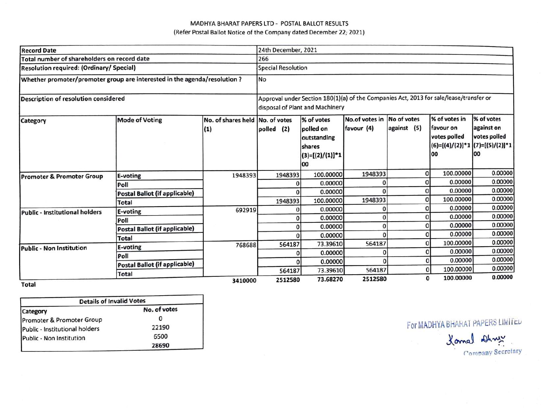#### MADHYA BHARAT PAPERS LTD - POSTAL BALLOT RESULTS

(Refer Postal Ballot Notice of the Company dated December 22; 2021)

| <b>Record Date</b>                                                       |                                      |                                        | 24th December, 2021       |                                                                               |                                                                                        |                            |                                                                                        |                                                 |
|--------------------------------------------------------------------------|--------------------------------------|----------------------------------------|---------------------------|-------------------------------------------------------------------------------|----------------------------------------------------------------------------------------|----------------------------|----------------------------------------------------------------------------------------|-------------------------------------------------|
| Total number of shareholders on record date                              |                                      |                                        | 266                       |                                                                               |                                                                                        |                            |                                                                                        |                                                 |
| Resolution required: (Ordinary/ Special)                                 |                                      |                                        | <b>Special Resolution</b> |                                                                               |                                                                                        |                            |                                                                                        |                                                 |
| Whether promoter/promoter group are interested in the agenda/resolution? |                                      |                                        | <b>No</b>                 |                                                                               |                                                                                        |                            |                                                                                        |                                                 |
| Description of resolution considered                                     |                                      |                                        |                           | disposal of Plant and Machinery                                               | Approval under Section 180(1)(a) of the Companies Act, 2013 for sale/lease/transfer or |                            |                                                                                        |                                                 |
| <b>Category</b>                                                          | <b>Mode of Voting</b>                | No. of shares held No. of votes<br>(1) | polled (2)                | % of votes<br>polled on<br>outstanding<br>shares<br>$(3)=[(2)/(1)]$ *1<br>100 | No.of votes in<br>favour (4)                                                           | No of votes<br>against (5) | % of votes in<br>favour on<br>votes polled<br> (6)=[(4)/(2)]*1  (7)=[(5)/(2)]*1<br>100 | % of votes<br>against on<br>votes polled<br>100 |
| <b>Promoter &amp; Promoter Group</b>                                     | E-voting                             | 1948393                                | 1948393                   | 100.00000                                                                     | 1948393                                                                                | O                          | 100.00000                                                                              | 0.00000                                         |
|                                                                          | Poll                                 |                                        |                           | 0.00000                                                                       |                                                                                        |                            | 0.00000                                                                                | 0.00000                                         |
|                                                                          | <b>Postal Ballot (if applicable)</b> |                                        |                           | 0.00000                                                                       |                                                                                        |                            | 0.00000                                                                                | 0.00000                                         |
|                                                                          | Total                                |                                        | 1948393                   | 100.00000                                                                     | 1948393                                                                                | ŋ                          | 100.00000                                                                              | 0.00000                                         |
| Public - Institutional holders                                           | E-voting                             | 692919                                 |                           | 0.00000                                                                       |                                                                                        | 0                          | 0.00000                                                                                | 0.00000                                         |
|                                                                          | Poll                                 |                                        |                           | 0.00000                                                                       |                                                                                        |                            | 0.00000                                                                                | 0.00000                                         |
|                                                                          | Postal Ballot (if applicable)        |                                        |                           | 0.00000                                                                       | O                                                                                      |                            | 0.00000                                                                                | 0.00000                                         |
|                                                                          | <b>Total</b>                         |                                        |                           | 0.00000                                                                       |                                                                                        |                            | 0.00000                                                                                | 0.00000                                         |
| Public - Non Institution                                                 | E-voting                             | 768688                                 | 564187                    | 73.39610                                                                      | 564187                                                                                 |                            | 100.00000                                                                              | 0.00000                                         |
|                                                                          | Poll                                 |                                        |                           | 0.00000                                                                       |                                                                                        |                            | 0.00000                                                                                | 0.00000                                         |
|                                                                          | <b>Postal Ballot (if applicable)</b> |                                        |                           | 0.00000                                                                       |                                                                                        |                            | 0.00000                                                                                | 0.00000                                         |
|                                                                          | Total                                |                                        | 564187                    | 73.39610                                                                      | 564187                                                                                 | 0                          | 100.00000                                                                              | 0.00000                                         |
| Tatal                                                                    |                                      | 3410000                                | 2512580                   | 73.68270                                                                      | 2512580                                                                                | 0                          | 100.00000                                                                              | 0.00000                                         |

Total

| <b>Details of Invalid Votes</b>      |              |                   |
|--------------------------------------|--------------|-------------------|
| Category                             | No. of votes |                   |
| <b>Promoter &amp; Promoter Group</b> |              |                   |
| Public - Institutional holders       | 22190        | For MADHYA BHARAT |
| Public - Non Institution             | 6500         |                   |
|                                      | 28690        |                   |

For MADHYA BHARAT PAPERS LIMITED

Company Secretary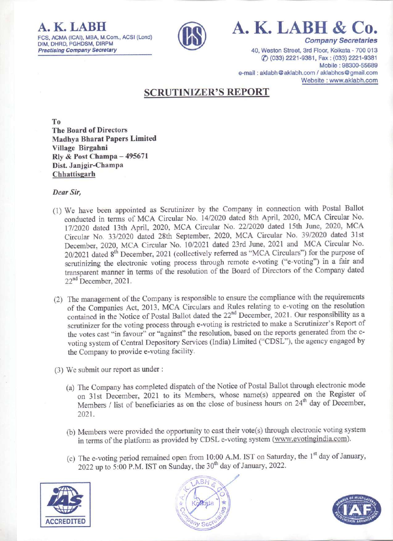FCS, ACMA (ICAI), MBA, M.Com., ACSI (Lond) DIM, DHRD, PGHDSM, DIRPM **Practising Company Secretary** 



A. K. LABH & C **Company Secretaries** 

40, Weston Street, 3rd Floor, Kolkata - 700 013 7 (033) 2221-9381, Fax: (033) 2221-9381 Mobile: 98300-55689 e-mail: aklabh@aklabh.com / aklabhcs@gmail.com Website: www.aklabh.com

## **SCRUTINIZER'S REPORT**

T<sub>0</sub>

**The Board of Directors Madhya Bharat Papers Limited** Village Birgahni **Rly & Post Champa - 495671** Dist. Janjgir-Champa Chhattisgarh

Dear Sir,

- (1) We have been appointed as Scrutinizer by the Company in connection with Postal Ballot conducted in terms of MCA Circular No. 14/2020 dated 8th April, 2020, MCA Circular No. 17/2020 dated 13th April, 2020, MCA Circular No. 22/2020 dated 15th June, 2020, MCA Circular No. 33/2020 dated 28th September, 2020, MCA Circular No. 39/2020 dated 31st December, 2020, MCA Circular No. 10/2021 dated 23rd June, 2021 and MCA Circular No. 20/2021 dated 8<sup>th</sup> December, 2021 (collectively referred as "MCA Circulars") for the purpose of scrutinizing the electronic voting process through remote e-voting ("e-voting") in a fair and transparent manner in terms of the resolution of the Board of Directors of the Company dated  $22<sup>nd</sup>$  December, 2021.
- (2) The management of the Company is responsible to ensure the compliance with the requirements of the Companies Act, 2013, MCA Circulars and Rules relating to e-voting on the resolution contained in the Notice of Postal Ballot dated the 22<sup>nd</sup> December, 2021. Our responsibility as a scrutinizer for the voting process through e-voting is restricted to make a Scrutinizer's Report of the votes cast "in favour" or "against" the resolution, based on the reports generated from the evoting system of Central Depository Services (India) Limited ("CDSL"), the agency engaged by the Company to provide e-voting facility.
- (3) We submit our report as under :
	- (a) The Company has completed dispatch of the Notice of Postal Ballot through electronic mode on 31st December, 2021 to its Members, whose name(s) appeared on the Register of Members / list of beneficiaries as on the close of business hours on 24<sup>th</sup> day of December, 2021.
	- (b) Members were provided the opportunity to cast their vote(s) through electronic voting system in terms of the platform as provided by CDSL e-voting system (www.evotingindia.com).
	- (c) The e-voting period remained open from 10:00 A.M. IST on Saturday, the 1<sup>st</sup> day of January, 2022 up to 5:00 P.M. IST on Sunday, the 30<sup>th</sup> day of January, 2022.





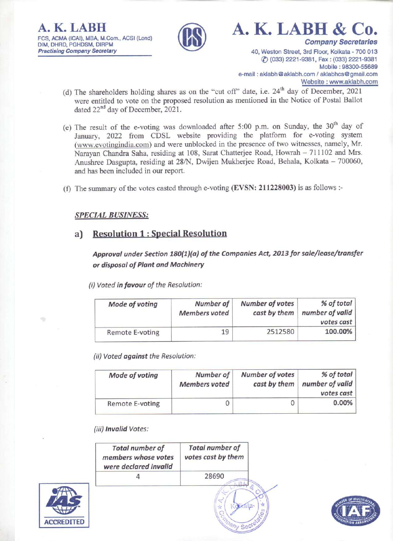

A. K. LABH & C

**Company Secretaries** 

40, Weston Street, 3rd Floor, Kolkata - 700 013 (033) 2221-9381, Fax: (033) 2221-9381 Mobile: 98300-55689 e-mail: aklabh@aklabh.com / aklabhcs@gmail.com Website: www.aklabh.com

- (d) The shareholders holding shares as on the "cut off" date, i.e.  $24<sup>th</sup>$  day of December, 2021 were entitled to vote on the proposed resolution as mentioned in the Notice of Postal Ballot dated 22<sup>nd</sup> day of December, 2021.
- (e) The result of the e-voting was downloaded after 5:00 p.m. on Sunday, the 30<sup>th</sup> day of January, 2022 from CDSL website providing the platform for e-voting system (www.evotingindia.com) and were unblocked in the presence of two witnesses, namely, Mr. Narayan Chandra Saha, residing at 108, Sarat Chatterjee Road, Howrah - 711102 and Mrs. Anushree Dasgupta, residing at 28/N, Dwijen Mukherjee Road, Behala, Kolkata - 700060, and has been included in our report.
- (f) The summary of the votes casted through e-voting (EVSN:  $211228003$ ) is as follows :-

## **SPECIAL BUSINESS:**

#### **Resolution 1: Special Resolution** a)

Approval under Section 180(1)(a) of the Companies Act, 2013 for sale/lease/transfer or disposal of Plant and Machinery

(i) Voted in favour of the Resolution:

| Mode of voting  | Number of<br>Members voted | <b>Number of votes</b><br>cast by them | % of total<br>number of valid<br>votes cast |
|-----------------|----------------------------|----------------------------------------|---------------------------------------------|
| Remote E-voting | 19                         | 2512580                                | 100.00%                                     |

(ii) Voted against the Resolution:

| Mode of voting         | Number of<br><b>Members voted</b> | <b>Number of votes</b><br>cast by them | % of total<br>number of valid<br>votes cast |
|------------------------|-----------------------------------|----------------------------------------|---------------------------------------------|
| <b>Remote E-voting</b> | 0                                 |                                        | 0.00%                                       |

### (iii) Invalid Votes:

| <b>Total number of</b><br>members whose votes<br>were declared invalid | <b>Total number of</b><br>votes cast by them |
|------------------------------------------------------------------------|----------------------------------------------|
|                                                                        | 28690                                        |



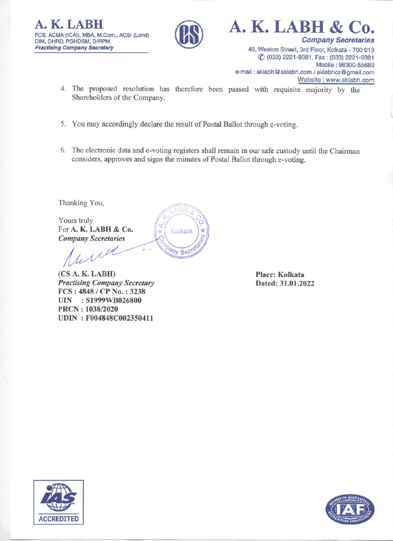A. K. LABH FCS, ACMA (ICAI), MBA, M.Com., ACSI (Lond) DIM, DHRD, PGHDSM, DIRPM **Practising Company Secretary** 



**Company Secretaries** 40, Weston Street, 3rd Floor, Kolkata - 700 013 7 (033) 2221-9381, Fax: (033) 2221-9381 Mobile: 98300-55689 e-mail: aklabh@aklabh.com / aklabhcs@gmail.com Website: www.aklabh.com

A. K. LABH & Co.

- 4. The proposed resolution has therefore been passed with requisite majority by the Shareholders of the Company.
- 5. You may accordingly declare the result of Postal Ballot through e-voting.

**KBH** 

Kolkata

**any Ser** 

6. The electronic data and e-voting registers shall remain in our safe custody until the Chairman considers, approves and signs the minutes of Postal Ballot through e-voting.

Thanking You,

Yours truly For A. K. LABH & Co. **Company Secretaries** 

will

(CS A. K. LABH) **Practising Company Secretary** FCS: 4848 / CP No.: 3238 UIN : S1999WB026800 PRCN: 1038/2020 UDIN: F004848C002350411

Place: Kolkata Dated: 31.01.2022